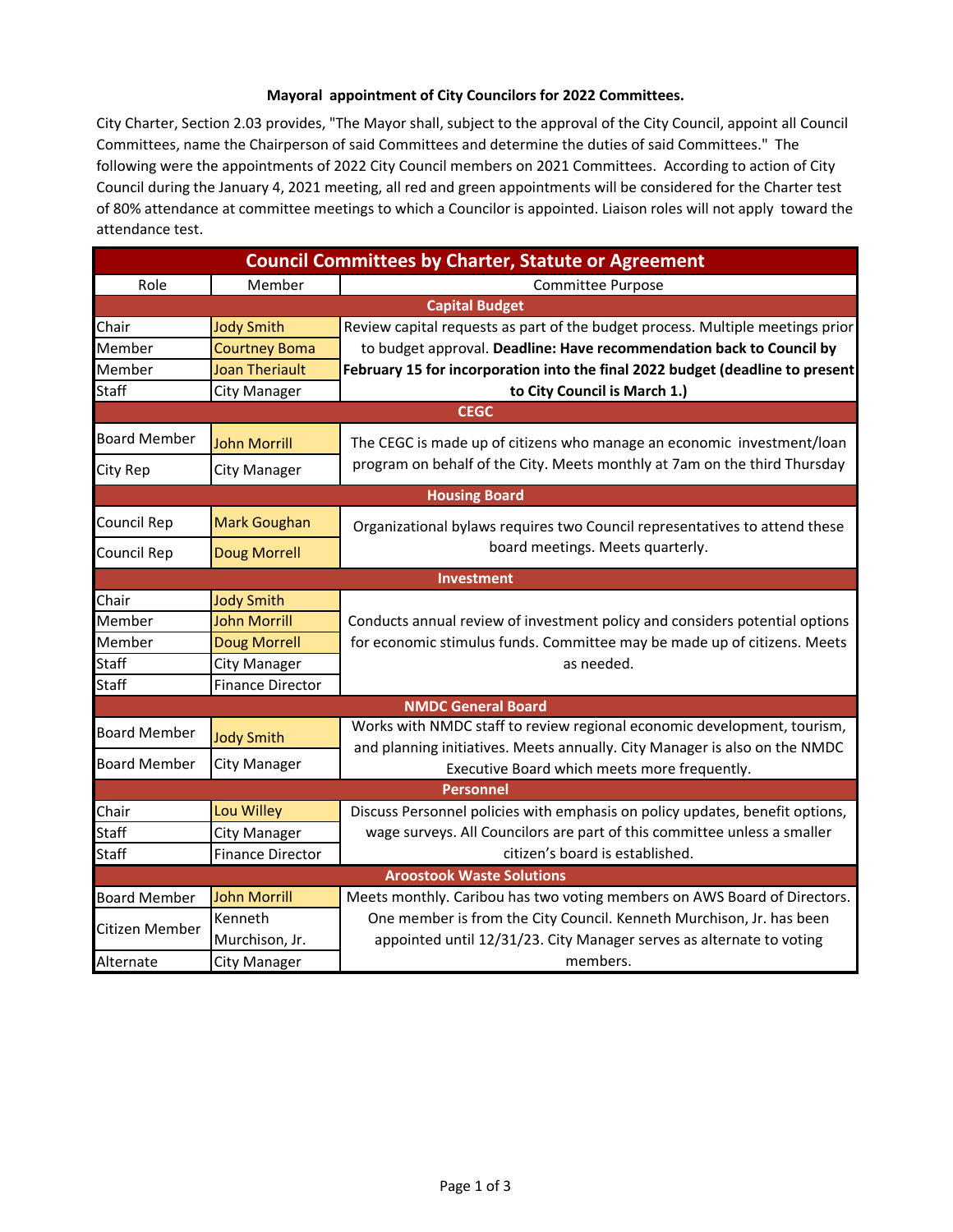## **Mayoral appointment of City Councilors for 2022 Committees.**

City Charter, Section 2.03 provides, "The Mayor shall, subject to the approval of the City Council, appoint all Council Committees, name the Chairperson of said Committees and determine the duties of said Committees." The following were the appointments of 2022 City Council members on 2021 Committees. According to action of City Council during the January 4, 2021 meeting, all red and green appointments will be considered for the Charter test of 80% attendance at committee meetings to which a Councilor is appointed. Liaison roles will not apply toward the attendance test.

| <b>Council Committees by Charter, Statute or Agreement</b> |                         |                                                                                                                                                       |  |  |  |
|------------------------------------------------------------|-------------------------|-------------------------------------------------------------------------------------------------------------------------------------------------------|--|--|--|
| Role                                                       | Member                  | <b>Committee Purpose</b>                                                                                                                              |  |  |  |
|                                                            |                         | <b>Capital Budget</b>                                                                                                                                 |  |  |  |
| Chair                                                      | <b>Jody Smith</b>       | Review capital requests as part of the budget process. Multiple meetings prior                                                                        |  |  |  |
| Member                                                     | <b>Courtney Boma</b>    | to budget approval. Deadline: Have recommendation back to Council by                                                                                  |  |  |  |
| Member                                                     | <b>Joan Theriault</b>   | February 15 for incorporation into the final 2022 budget (deadline to present                                                                         |  |  |  |
| <b>Staff</b>                                               | <b>City Manager</b>     | to City Council is March 1.)                                                                                                                          |  |  |  |
|                                                            |                         | <b>CEGC</b>                                                                                                                                           |  |  |  |
| <b>Board Member</b>                                        | <b>John Morrill</b>     | The CEGC is made up of citizens who manage an economic investment/loan                                                                                |  |  |  |
| City Rep                                                   | <b>City Manager</b>     | program on behalf of the City. Meets monthly at 7am on the third Thursday                                                                             |  |  |  |
|                                                            |                         | <b>Housing Board</b>                                                                                                                                  |  |  |  |
| Council Rep                                                | <b>Mark Goughan</b>     | Organizational bylaws requires two Council representatives to attend these                                                                            |  |  |  |
| Council Rep                                                | <b>Doug Morrell</b>     | board meetings. Meets quarterly.                                                                                                                      |  |  |  |
|                                                            |                         | Investment                                                                                                                                            |  |  |  |
| Chair                                                      | <b>Jody Smith</b>       |                                                                                                                                                       |  |  |  |
| Member                                                     | <b>John Morrill</b>     | Conducts annual review of investment policy and considers potential options                                                                           |  |  |  |
| Member                                                     | <b>Doug Morrell</b>     | for economic stimulus funds. Committee may be made up of citizens. Meets                                                                              |  |  |  |
| Staff                                                      | <b>City Manager</b>     | as needed.                                                                                                                                            |  |  |  |
| <b>Staff</b>                                               | <b>Finance Director</b> |                                                                                                                                                       |  |  |  |
|                                                            |                         | <b>NMDC General Board</b>                                                                                                                             |  |  |  |
| <b>Board Member</b>                                        | <b>Jody Smith</b>       | Works with NMDC staff to review regional economic development, tourism,<br>and planning initiatives. Meets annually. City Manager is also on the NMDC |  |  |  |
| <b>Board Member</b>                                        | <b>City Manager</b>     | Executive Board which meets more frequently.                                                                                                          |  |  |  |
|                                                            |                         | <b>Personnel</b>                                                                                                                                      |  |  |  |
| Chair                                                      | Lou Willey              | Discuss Personnel policies with emphasis on policy updates, benefit options,                                                                          |  |  |  |
| <b>Staff</b>                                               | <b>City Manager</b>     | wage surveys. All Councilors are part of this committee unless a smaller                                                                              |  |  |  |
| <b>Staff</b>                                               | <b>Finance Director</b> | citizen's board is established.                                                                                                                       |  |  |  |
| <b>Aroostook Waste Solutions</b>                           |                         |                                                                                                                                                       |  |  |  |
| <b>Board Member</b>                                        | <b>John Morrill</b>     | Meets monthly. Caribou has two voting members on AWS Board of Directors.                                                                              |  |  |  |
| Citizen Member                                             | Kenneth                 | One member is from the City Council. Kenneth Murchison, Jr. has been                                                                                  |  |  |  |
|                                                            | Murchison, Jr.          | appointed until 12/31/23. City Manager serves as alternate to voting                                                                                  |  |  |  |
| Alternate                                                  | <b>City Manager</b>     | members.                                                                                                                                              |  |  |  |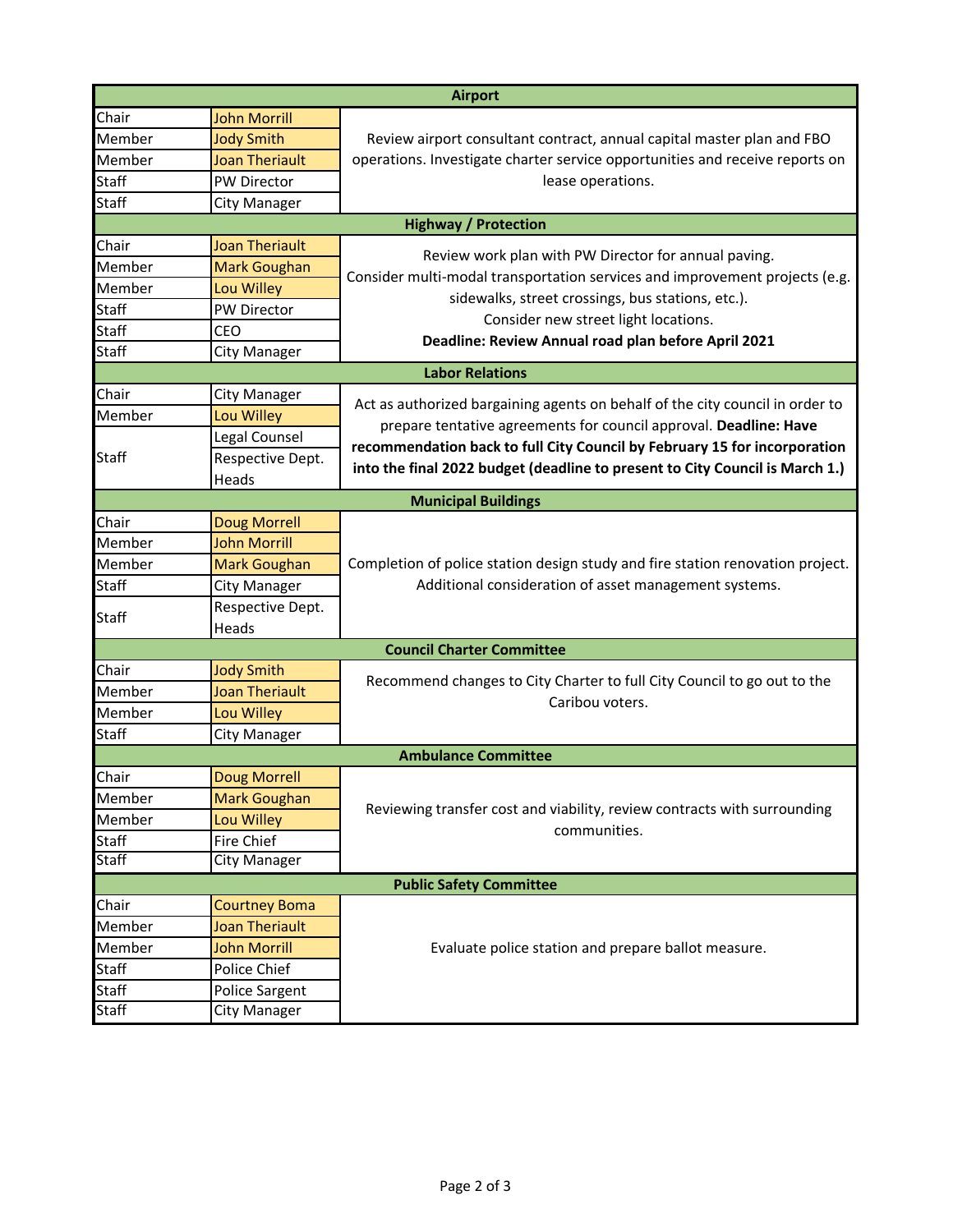|                                |                       | <b>Airport</b>                                                                 |  |  |  |
|--------------------------------|-----------------------|--------------------------------------------------------------------------------|--|--|--|
| Chair                          | <b>John Morrill</b>   |                                                                                |  |  |  |
| Member                         | <b>Jody Smith</b>     | Review airport consultant contract, annual capital master plan and FBO         |  |  |  |
| Member                         | <b>Joan Theriault</b> | operations. Investigate charter service opportunities and receive reports on   |  |  |  |
| <b>Staff</b>                   | PW Director           | lease operations.                                                              |  |  |  |
| <b>Staff</b>                   | <b>City Manager</b>   |                                                                                |  |  |  |
|                                |                       | <b>Highway / Protection</b>                                                    |  |  |  |
| Chair                          | <b>Joan Theriault</b> | Review work plan with PW Director for annual paving.                           |  |  |  |
| Member                         | Mark Goughan          | Consider multi-modal transportation services and improvement projects (e.g.    |  |  |  |
| Member                         | Lou Willey            | sidewalks, street crossings, bus stations, etc.).                              |  |  |  |
| <b>Staff</b>                   | PW Director           | Consider new street light locations.                                           |  |  |  |
| Staff                          | CEO                   | Deadline: Review Annual road plan before April 2021                            |  |  |  |
| <b>Staff</b>                   | <b>City Manager</b>   |                                                                                |  |  |  |
|                                |                       | <b>Labor Relations</b>                                                         |  |  |  |
| Chair                          | <b>City Manager</b>   | Act as authorized bargaining agents on behalf of the city council in order to  |  |  |  |
| Member                         | Lou Willey            | prepare tentative agreements for council approval. Deadline: Have              |  |  |  |
|                                | Legal Counsel         | recommendation back to full City Council by February 15 for incorporation      |  |  |  |
| <b>Staff</b>                   | Respective Dept.      | into the final 2022 budget (deadline to present to City Council is March 1.)   |  |  |  |
|                                | Heads                 |                                                                                |  |  |  |
|                                |                       | <b>Municipal Buildings</b>                                                     |  |  |  |
| Chair                          | <b>Doug Morrell</b>   |                                                                                |  |  |  |
| Member                         | <b>John Morrill</b>   |                                                                                |  |  |  |
| Member                         | <b>Mark Goughan</b>   | Completion of police station design study and fire station renovation project. |  |  |  |
| <b>Staff</b>                   | <b>City Manager</b>   | Additional consideration of asset management systems.                          |  |  |  |
| <b>Staff</b>                   | Respective Dept.      |                                                                                |  |  |  |
|                                | Heads                 |                                                                                |  |  |  |
|                                |                       | <b>Council Charter Committee</b>                                               |  |  |  |
| Chair                          | <b>Jody Smith</b>     | Recommend changes to City Charter to full City Council to go out to the        |  |  |  |
| Member                         | <b>Joan Theriault</b> | Caribou voters.                                                                |  |  |  |
| Member                         | Lou Willey            |                                                                                |  |  |  |
| <b>Staff</b>                   | <b>City Manager</b>   |                                                                                |  |  |  |
| <b>Ambulance Committee</b>     |                       |                                                                                |  |  |  |
| Chair                          | Doug Morrell          |                                                                                |  |  |  |
| Member                         | <b>Mark Goughan</b>   | Reviewing transfer cost and viability, review contracts with surrounding       |  |  |  |
| Member                         | Lou Willey            | communities.                                                                   |  |  |  |
| <b>Staff</b>                   | Fire Chief            |                                                                                |  |  |  |
| <b>Staff</b>                   | <b>City Manager</b>   |                                                                                |  |  |  |
| <b>Public Safety Committee</b> |                       |                                                                                |  |  |  |
| Chair                          | <b>Courtney Boma</b>  |                                                                                |  |  |  |
| Member                         | <b>Joan Theriault</b> |                                                                                |  |  |  |
| Member                         | <b>John Morrill</b>   | Evaluate police station and prepare ballot measure.                            |  |  |  |
| Staff                          | Police Chief          |                                                                                |  |  |  |
| <b>Staff</b>                   | Police Sargent        |                                                                                |  |  |  |
| <b>Staff</b>                   | <b>City Manager</b>   |                                                                                |  |  |  |